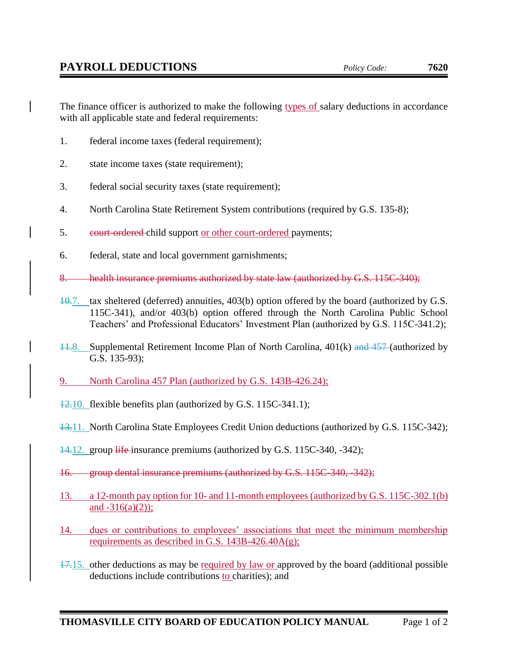The finance officer is authorized to make the following types of salary deductions in accordance with all applicable state and federal requirements:

- 1. federal income taxes (federal requirement);
- 2. state income taxes (state requirement);
- 3. federal social security taxes (state requirement);
- 4. North Carolina State Retirement System contributions (required by G.S. 135-8);
- 5. eourt-ordered child support or other court-ordered payments;
- 6. federal, state and local government garnishments;
- 8. health insurance premiums authorized by state law (authorized by G.S. 115C-340);
- 10.7. tax sheltered (deferred) annuities, 403(b) option offered by the board (authorized by G.S. 115C-341), and/or 403(b) option offered through the North Carolina Public School Teachers' and Professional Educators' Investment Plan (authorized by G.S. 115C-341.2);
- 11.8. Supplemental Retirement Income Plan of North Carolina, 401(k) and 457 (authorized by G.S. 135-93);
- 9. North Carolina 457 Plan (authorized by G.S. 143B-426.24);
- 12.10. flexible benefits plan (authorized by G.S. 115C-341.1);
- 13.11. North Carolina State Employees Credit Union deductions (authorized by G.S. 115C-342);
- 14.12. group life insurance premiums (authorized by G.S. 115C-340, -342);
- 16. group dental insurance premiums (authorized by G.S. 115C-340, -342);
- 13. a 12-month pay option for 10- and 11-month employees (authorized by G.S. 115C-302.1(b) and  $-316(a)(2)$ ;
- 14. dues or contributions to employees' associations that meet the minimum membership requirements as described in G.S. 143B-426.40A(g);
- $17.15$ . other deductions as may be required by law or approved by the board (additional possible deductions include contributions to charities); and